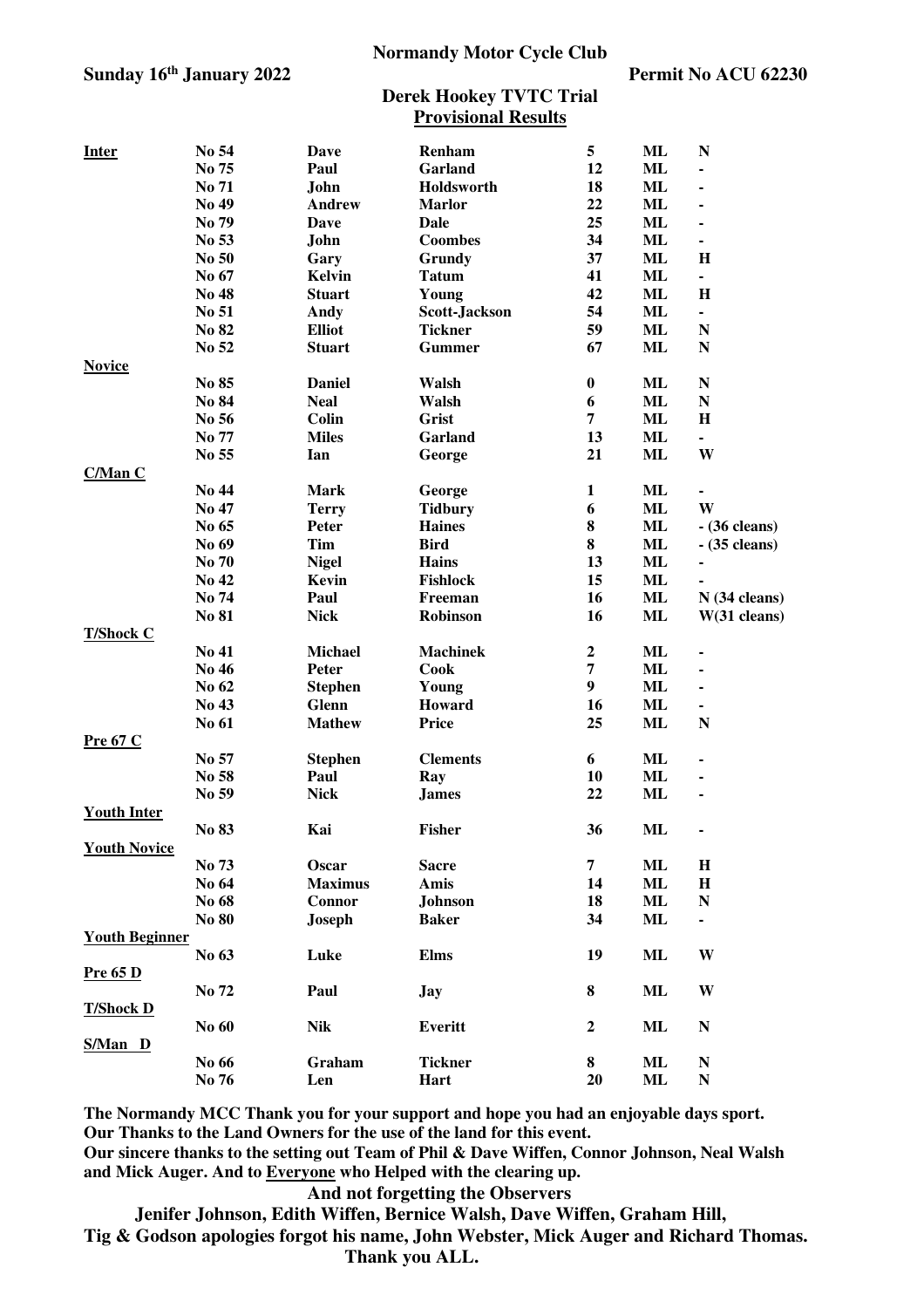### **Sunday 16th January 2022 Permit No ACU 62230**

#### **Normandy Motor Cycle Club**

### **Derek Hookey TVTC Trial Provisional Results**

|                       | No 54 |                       |                   | 5                |           |                       |
|-----------------------|-------|-----------------------|-------------------|------------------|-----------|-----------------------|
| <b>Inter</b>          | No 75 | Dave<br>Paul          | Renham<br>Garland | 12               | ML<br>ML  | $\mathbb N$           |
|                       | No 71 | John                  | Holdsworth        | 18               | ML        |                       |
|                       | No 49 | Andrew                | <b>Marlor</b>     | 22               | ML        |                       |
|                       | No 79 | Dave                  | <b>Dale</b>       | 25               | <b>ML</b> |                       |
|                       | No 53 | John                  | <b>Coombes</b>    | 34               | <b>ML</b> | $\frac{1}{2}$         |
|                       | No 50 |                       | Grundy            | 37               | ML        | $\bf H$               |
|                       | No 67 | Gary<br><b>Kelvin</b> | <b>Tatum</b>      | 41               | ML        | $\blacksquare$        |
|                       |       | <b>Stuart</b>         |                   |                  |           | $\mathbf H$           |
|                       | No 48 |                       | Young             | 42               | ML        |                       |
|                       | No 51 | Andy                  | Scott-Jackson     | 54               | <b>ML</b> | $\blacksquare$        |
|                       | No 82 | <b>Elliot</b>         | <b>Tickner</b>    | 59               | <b>ML</b> | $\mathbb N$           |
|                       | No 52 | <b>Stuart</b>         | <b>Gummer</b>     | 67               | ML        | N                     |
| <b>Novice</b>         | No 85 | <b>Daniel</b>         | Walsh             | $\boldsymbol{0}$ | ML        | ${\bf N}$             |
|                       | No 84 | <b>Neal</b>           | Walsh             |                  |           |                       |
|                       |       |                       |                   | 6                | ML        | $\mathbb N$           |
|                       | No 56 | <b>Colin</b>          | Grist             | 7                | ML        | $\mathbf H$           |
|                       | No 77 | <b>Miles</b>          | Garland           | 13               | <b>ML</b> |                       |
|                       | No 55 | Ian                   | George            | 21               | ML        | W                     |
| <b>C/Man C</b>        |       |                       |                   |                  |           |                       |
|                       | No 44 | <b>Mark</b>           | George            | $\mathbf{1}$     | <b>ML</b> |                       |
|                       | No 47 | <b>Terry</b>          | <b>Tidbury</b>    | 6                | ML        | W                     |
|                       | No 65 | Peter                 | <b>Haines</b>     | 8                | <b>ML</b> | $-$ (36 cleans)       |
|                       | No 69 | <b>Tim</b>            | <b>Bird</b>       | 8                | <b>ML</b> | $-$ (35 cleans)       |
|                       | No 70 | <b>Nigel</b>          | <b>Hains</b>      | 13               | ML        |                       |
|                       | No 42 | Kevin                 | <b>Fishlock</b>   | 15               | ML        |                       |
|                       | No 74 | Paul                  | Freeman           | 16               | ML        | $N(34 \text{ clean})$ |
|                       | No 81 | <b>Nick</b>           | Robinson          | 16               | ML        | $W(31 \text{ clean})$ |
| <b>T/Shock C</b>      |       |                       |                   |                  |           |                       |
|                       | No 41 | <b>Michael</b>        | <b>Machinek</b>   | $\boldsymbol{2}$ | <b>ML</b> |                       |
|                       | No 46 | Peter                 | Cook              | 7                | <b>ML</b> |                       |
|                       | No 62 | <b>Stephen</b>        | Young             | 9                | ML        | $\blacksquare$        |
|                       | No 43 | Glenn                 | Howard            | 16               | ML        |                       |
|                       | No 61 | <b>Mathew</b>         | Price             | 25               | ML        | N                     |
| Pre 67 C              |       |                       |                   |                  |           |                       |
|                       | No 57 | <b>Stephen</b>        | <b>Clements</b>   | 6                | <b>ML</b> |                       |
|                       | No 58 | Paul                  | Ray               | 10               | ML        |                       |
|                       | No 59 | <b>Nick</b>           | <b>James</b>      | 22               | ML        |                       |
| <b>Youth Inter</b>    |       |                       |                   |                  |           |                       |
|                       | No 83 | Kai                   | Fisher            | 36               | ML        |                       |
| <b>Youth Novice</b>   |       |                       |                   |                  |           |                       |
|                       | No 73 | Oscar                 | <b>Sacre</b>      | 7                | ML        | $\mathbf H$           |
|                       | No 64 | <b>Maximus</b>        | Amis              | 14               | ML        | $\mathbf H$           |
|                       | No 68 | Connor                | <b>Johnson</b>    | 18               | ML        | $\mathbb N$           |
|                       | No 80 | <b>Joseph</b>         | <b>Baker</b>      | 34               | ML        | ٠                     |
| <b>Youth Beginner</b> |       |                       |                   |                  |           |                       |
|                       | No 63 | Luke                  | <b>Elms</b>       | 19               | ML        | W                     |
| <b>Pre 65 D</b>       |       |                       |                   |                  |           |                       |
|                       | No 72 | Paul                  | <b>Jay</b>        | 8                | ML        | W                     |
| <b>T/Shock D</b>      |       |                       |                   |                  |           |                       |
|                       | No 60 | <b>Nik</b>            | <b>Everitt</b>    | $\boldsymbol{2}$ | ML        | $\mathbf N$           |
| S/Man D               |       |                       |                   |                  |           |                       |
|                       | No 66 | Graham                | <b>Tickner</b>    | 8                | ML        | ${\bf N}$             |
|                       | No 76 | Len                   | Hart              | 20               | ML        | $\mathbf N$           |

**The Normandy MCC Thank you for your support and hope you had an enjoyable days sport. Our Thanks to the Land Owners for the use of the land for this event.**

**Our sincere thanks to the setting out Team of Phil & Dave Wiffen, Connor Johnson, Neal Walsh and Mick Auger. And to Everyone who Helped with the clearing up.** 

**And not forgetting the Observers** 

 **Jenifer Johnson, Edith Wiffen, Bernice Walsh, Dave Wiffen, Graham Hill,** 

**Tig & Godson apologies forgot his name, John Webster, Mick Auger and Richard Thomas. Thank you ALL.**